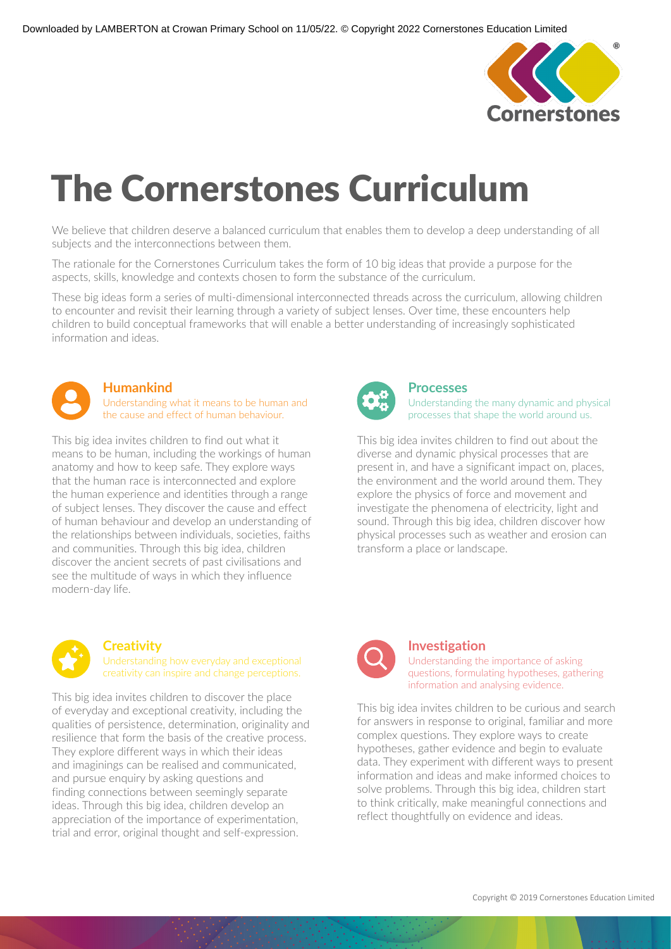

# The Cornerstones Curriculum

We believe that children deserve a balanced curriculum that enables them to develop a deep understanding of all subjects and the interconnections between them.

The rationale for the Cornerstones Curriculum takes the form of 10 big ideas that provide a purpose for the aspects, skills, knowledge and contexts chosen to form the substance of the curriculum.

These big ideas form a series of multi-dimensional interconnected threads across the curriculum, allowing children to encounter and revisit their learning through a variety of subject lenses. Over time, these encounters help children to build conceptual frameworks that will enable a better understanding of increasingly sophisticated information and ideas.



### **Humankind**

Understanding what it means to be human and the cause and effect of human behaviour.

This big idea invites children to find out what it means to be human, including the workings of human anatomy and how to keep safe. They explore ways that the human race is interconnected and explore the human experience and identities through a range of subject lenses. They discover the cause and effect of human behaviour and develop an understanding of the relationships between individuals, societies, faiths and communities. Through this big idea, children discover the ancient secrets of past civilisations and see the multitude of ways in which they influence modern-day life.



## **Processes**

Understanding the many dynamic and physical processes that shape the world around us.

This big idea invites children to find out about the diverse and dynamic physical processes that are present in, and have a significant impact on, places, the environment and the world around them. They explore the physics of force and movement and investigate the phenomena of electricity, light and sound. Through this big idea, children discover how physical processes such as weather and erosion can transform a place or landscape.



## **Creativity**

Understanding how everyday and exceptional creativity can inspire and change perceptions.

This big idea invites children to discover the place of everyday and exceptional creativity, including the qualities of persistence, determination, originality and resilience that form the basis of the creative process. They explore different ways in which their ideas and imaginings can be realised and communicated, and pursue enquiry by asking questions and finding connections between seemingly separate ideas. Through this big idea, children develop an appreciation of the importance of experimentation, trial and error, original thought and self-expression.



## **Investigation**

Understanding the importance of asking questions, formulating hypotheses, gathering information and analysing evidence.

This big idea invites children to be curious and search for answers in response to original, familiar and more complex questions. They explore ways to create hypotheses, gather evidence and begin to evaluate data. They experiment with different ways to present information and ideas and make informed choices to solve problems. Through this big idea, children start to think critically, make meaningful connections and reflect thoughtfully on evidence and ideas.